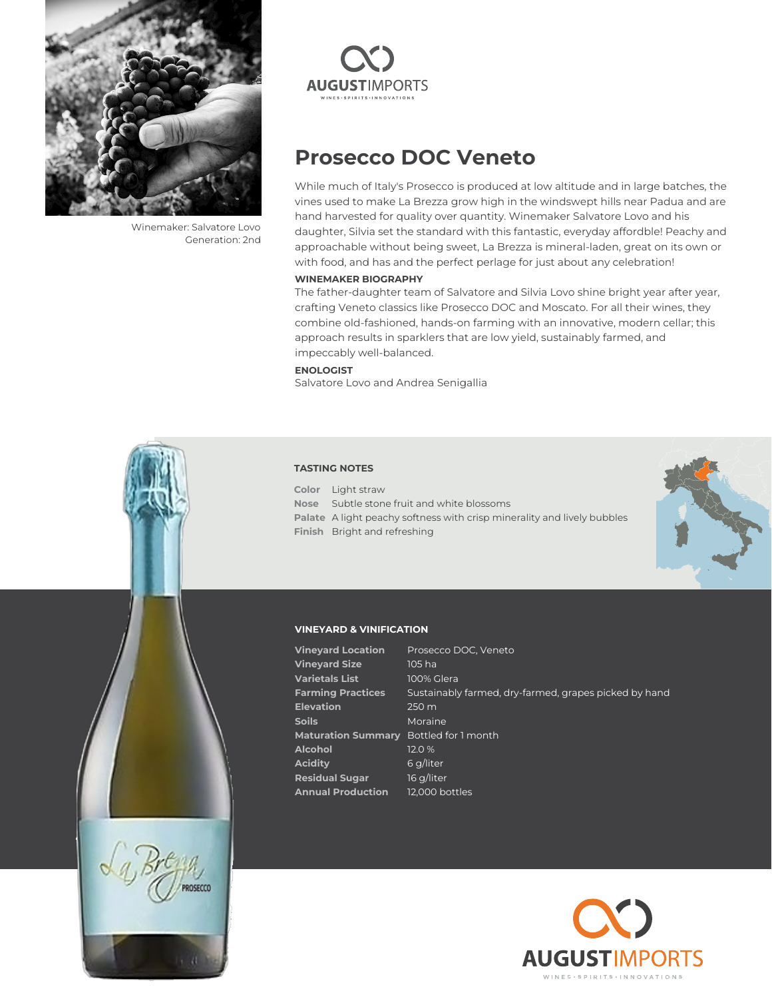

Winemaker: Salvatore Lovo Generation: 2nd



## **Prosecco DOC Veneto**

While much of Italy's Prosecco is produced at low altitude and in large batches, the vines used to make La Brezza grow high in the windswept hills near Padua and are hand harvested for quality over quantity. Winemaker Salvatore Lovo and his daughter, Silvia set the standard with this fantastic, everyday affordble! Peachy and approachable without being sweet, La Brezza is mineral-laden, great on its own or with food, and has and the perfect perlage for just about any celebration!

## **WINEMAKER BIOGRAPHY**

The father-daughter team of Salvatore and Silvia Lovo shine bright year after year, crafting Veneto classics like Prosecco DOC and Moscato. For all their wines, they combine old-fashioned, hands-on farming with an innovative, modern cellar; this approach results in sparklers that are low yield, sustainably farmed, and impeccably well-balanced.

## **ENOLOGIST**

Salvatore Lovo and Andrea Senigallia

## **TASTING NOTES**

**Color** Light straw **Nose** Subtle stone fruit and white blossoms **Palate** A light peachy softness with crisp minerality and lively bubbles **Finish** Bright and refreshing



## **VINEYARD & VINIFICATION**

**Vineyard Location** Prosecco DOC, Veneto **Vineyard Size** 105 ha **Varietals List** 100% Glera **Farming Practices** Sustainably farmed, dry-farmed, grapes picked by hand **Elevation** 250 m **Soils** Moraine **Maturation Summary** Bottled for 1 month **Alcohol** 12.0 % **Acidity** 6 g/liter **Residual Sugar** 16 g/liter **Annual Production** 12,000 bottles